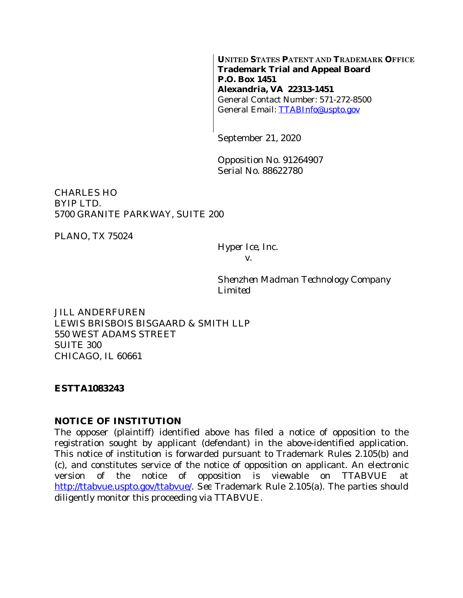**UNITED STATES PATENT AND TRADEMARK OFFICE Trademark Trial and Appeal Board P.O. Box 1451 Alexandria, VA 22313-1451** General Contact Number: 571-272-8500 General Email: [TTABInfo@uspto.gov](mailto:TTABInfo@uspto.gov)

September 21, 2020

Opposition No. 91264907 Serial No. 88622780

CHARLES HO BYIP LTD. 5700 GRANITE PARKWAY, SUITE 200

PLANO, TX 75024

*Hyper Ice, Inc. v.*

*Shenzhen Madman Technology Company Limited*

JILL ANDERFUREN LEWIS BRISBOIS BISGAARD & SMITH LLP 550 WEST ADAMS STREET SUITE 300 CHICAGO, IL 60661

#### **ESTTA1083243**

#### **NOTICE OF INSTITUTION**

The opposer (plaintiff) identified above has filed a notice of opposition to the registration sought by applicant (defendant) in the above-identified application. This notice of institution is forwarded pursuant to Trademark Rules 2.105(b) and (c), and constitutes service of the notice of opposition on applicant. An electronic version of the notice of opposition is viewable on TTABVUE at <http://ttabvue.uspto.gov/ttabvue/>. *See* Trademark Rule 2.105(a). The parties should diligently monitor this proceeding via TTABVUE.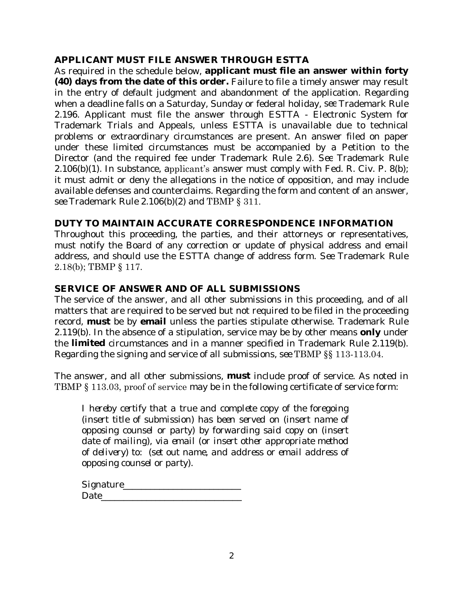# **APPLICANT MUST FILE ANSWER THROUGH ESTTA**

As required in the schedule below, **applicant must file an answer within forty (40) days from the date of this order.** Failure to file a timely answer may result in the entry of default judgment and abandonment of the application. Regarding when a deadline falls on a Saturday, Sunday or federal holiday, *see* Trademark Rule 2.196. Applicant must file the answer through ESTTA - Electronic System for Trademark Trials and Appeals, unless ESTTA is unavailable due to technical problems or extraordinary circumstances are present. An answer filed on paper under these limited circumstances must be accompanied by a Petition to the Director (and the required fee under Trademark Rule 2.6). *See* Trademark Rule  $2.106(b)(1)$ . In substance, applicant's answer must comply with Fed. R. Civ. P. 8(b); it must admit or deny the allegations in the notice of opposition, and may include available defenses and counterclaims. Regarding the form and content of an answer, *see* Trademark Rule 2.106(b)(2) and TBMP § 311.

# **DUTY TO MAINTAIN ACCURATE CORRESPONDENCE INFORMATION**

Throughout this proceeding, the parties, and their attorneys or representatives, must notify the Board of any correction or update of physical address and email address, and should use the ESTTA change of address form. *See* Trademark Rule 2.18(b); TBMP § 117.

# **SERVICE OF ANSWER AND OF ALL SUBMISSIONS**

The service of the answer, and all other submissions in this proceeding, and of all matters that are required to be served but not required to be filed in the proceeding record, **must** be by **email** unless the parties stipulate otherwise. Trademark Rule 2.119(b). In the absence of a stipulation, service may be by other means **only** under the **limited** circumstances and in a manner specified in Trademark Rule 2.119(b). Regarding the signing and service of all submissions, *see* TBMP §§ 113-113.04.

The answer, and all other submissions, **must** include proof of service. As noted in TBMP § 113.03, proof of service may be in the following certificate of service form:

*I hereby certify that a true and complete copy of the foregoing (insert title of submission) has been served on (insert name of opposing counsel or party) by forwarding said copy on (insert date of mailing), via email (or insert other appropriate method of delivery) to: (set out name, and address or email address of opposing counsel or party).*

*Signature\_\_\_\_\_\_\_\_\_\_\_\_\_\_\_\_\_\_\_\_\_\_\_\_\_\_ Date\_\_\_\_\_\_\_\_\_\_\_\_\_\_\_\_\_\_\_\_\_\_\_\_\_\_\_\_\_\_\_*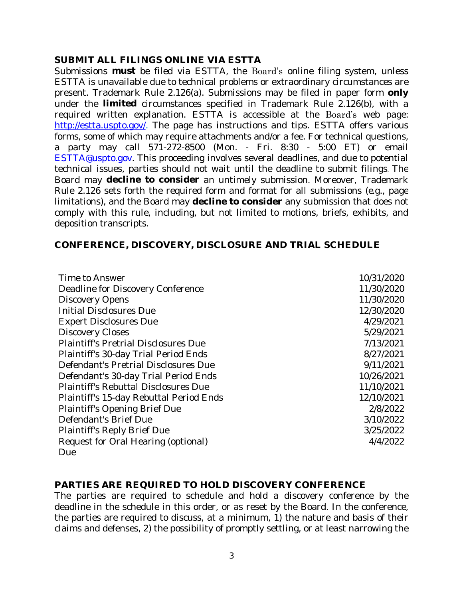#### **SUBMIT ALL FILINGS ONLINE VIA ESTTA**

Submissions **must** be filed via ESTTA, the Board's online filing system, unless ESTTA is unavailable due to technical problems or extraordinary circumstances are present. Trademark Rule 2.126(a). Submissions may be filed in paper form **only** under the **limited** circumstances specified in Trademark Rule 2.126(b), with a required written explanation. ESTTA is accessible at the Board's web page: <http://estta.uspto.gov/>. The page has instructions and tips. ESTTA offers various forms, some of which may require attachments and/or a fee. For technical questions, a party may call 571-272-8500 (Mon. - Fri. 8:30 - 5:00 ET) or email [ESTTA@uspto.gov](mailto:ESTTA@uspto.gov). This proceeding involves several deadlines, and due to potential technical issues, parties should not wait until the deadline to submit filings. The Board may **decline to consider** an untimely submission. Moreover, Trademark Rule 2.126 sets forth the required form and format for all submissions (*e.g.*, page limitations), and the Board may **decline to consider** any submission that does not comply with this rule, including, but not limited to motions, briefs, exhibits, and deposition transcripts.

### **CONFERENCE, DISCOVERY, DISCLOSURE AND TRIAL SCHEDULE**

| Time to Answer                              | 10/31/2020 |
|---------------------------------------------|------------|
| Deadline for Discovery Conference           | 11/30/2020 |
| <b>Discovery Opens</b>                      | 11/30/2020 |
| <b>Initial Disclosures Due</b>              | 12/30/2020 |
| <b>Expert Disclosures Due</b>               | 4/29/2021  |
| <b>Discovery Closes</b>                     | 5/29/2021  |
| <b>Plaintiff's Pretrial Disclosures Due</b> | 7/13/2021  |
| Plaintiff's 30-day Trial Period Ends        | 8/27/2021  |
| Defendant's Pretrial Disclosures Due        | 9/11/2021  |
| Defendant's 30-day Trial Period Ends        | 10/26/2021 |
| <b>Plaintiff's Rebuttal Disclosures Due</b> | 11/10/2021 |
| Plaintiff's 15-day Rebuttal Period Ends     | 12/10/2021 |
| <b>Plaintiff's Opening Brief Due</b>        | 2/8/2022   |
| Defendant's Brief Due                       | 3/10/2022  |
| <b>Plaintiff's Reply Brief Due</b>          | 3/25/2022  |
| Request for Oral Hearing (optional)         | 4/4/2022   |
| Due                                         |            |

# **PARTIES ARE REQUIRED TO HOLD DISCOVERY CONFERENCE**

The parties are required to schedule and hold a discovery conference by the deadline in the schedule in this order, or as reset by the Board. In the conference, the parties are required to discuss, at a minimum, 1) the nature and basis of their claims and defenses, 2) the possibility of promptly settling, or at least narrowing the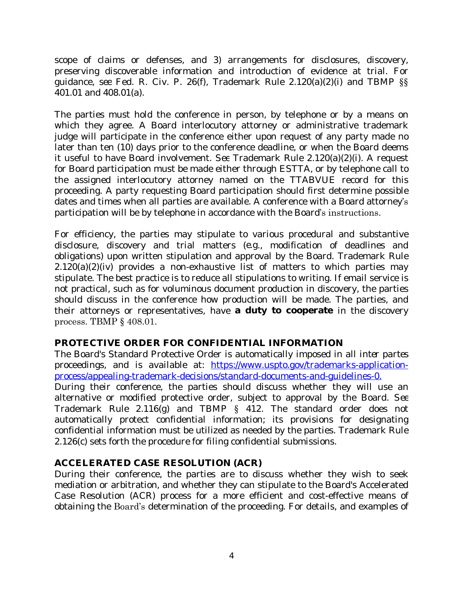scope of claims or defenses, and 3) arrangements for disclosures, discovery, preserving discoverable information and introduction of evidence at trial. For guidance, *see* Fed. R. Civ. P. 26(f), Trademark Rule 2.120(a)(2)(i) and TBMP §§ 401.01 and 408.01(a).

The parties must hold the conference in person, by telephone or by a means on which they agree. A Board interlocutory attorney or administrative trademark judge will participate in the conference either upon request of any party made no later than ten (10) days prior to the conference deadline, or when the Board deems it useful to have Board involvement. *See* Trademark Rule 2.120(a)(2)(i). A request for Board participation must be made either through ESTTA, or by telephone call to the assigned interlocutory attorney named on the TTABVUE record for this proceeding. A party requesting Board participation should first determine possible dates and times when all parties are available. A conference with a Board attorney's participation will be by telephone in accordance with the Board's instructions.

For efficiency, the parties may stipulate to various procedural and substantive disclosure, discovery and trial matters (*e.g*., modification of deadlines and obligations) upon written stipulation and approval by the Board. Trademark Rule 2.120(a)(2)(iv) provides a non-exhaustive list of matters to which parties may stipulate. The best practice is to reduce all stipulations to writing. If email service is not practical, such as for voluminous document production in discovery, the parties should discuss in the conference how production will be made. The parties, and their attorneys or representatives, have **a duty to cooperate** in the discovery process. TBMP § 408.01.

#### **PROTECTIVE ORDER FOR CONFIDENTIAL INFORMATION**

The Board's Standard Protective Order is automatically imposed in all *inter partes* proceedings, and is available at: [https://www.uspto.gov/trademarks-application](https://www.uspto.gov/trademarks-application-process/appealing-trademark-decisions/standard-documents-and-guidelines-0)process/appealing-trademark-decisions/standard-documents-and-guidelines-0. During their conference, the parties should discuss whether they will use an alternative or modified protective order, subject to approval by the Board. *See* Trademark Rule 2.116(g) and TBMP § 412. The standard order does not automatically protect confidential information; its provisions for designating confidential information must be utilized as needed by the parties. Trademark Rule 2.126(c) sets forth the procedure for filing confidential submissions.

# **ACCELERATED CASE RESOLUTION (ACR)**

During their conference, the parties are to discuss whether they wish to seek mediation or arbitration, and whether they can stipulate to the Board's Accelerated Case Resolution (ACR) process for a more efficient and cost-effective means of obtaining the Board's determination of the proceeding. For details, and examples of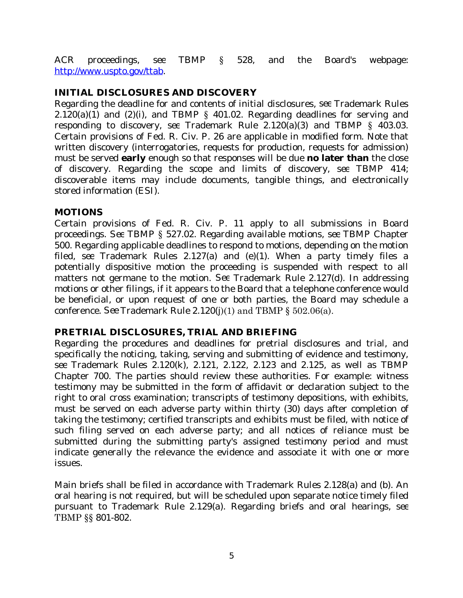ACR proceedings, *see* TBMP § 528, and the Board's webpage: [http://www.uspto.gov/ttab.](http://www.uspto.gov/ttab)

### **INITIAL DISCLOSURES AND DISCOVERY**

Regarding the deadline for and contents of initial disclosures, *see* Trademark Rules  $2.120(a)(1)$  and  $(2)(i)$ , and TBMP § 401.02. Regarding deadlines for serving and responding to discovery, *see* Trademark Rule 2.120(a)(3) and TBMP § 403.03. Certain provisions of Fed. R. Civ. P. 26 are applicable in modified form. Note that written discovery (interrogatories, requests for production, requests for admission) must be served **early** enough so that responses will be due **no later than** the close of discovery. Regarding the scope and limits of discovery, *see* TBMP 414; discoverable items may include documents, tangible things, and electronically stored information (ESI).

#### **MOTIONS**

Certain provisions of Fed. R. Civ. P. 11 apply to all submissions in Board proceedings. *See* TBMP § 527.02. Regarding available motions, *see* TBMP Chapter 500. Regarding applicable deadlines to respond to motions, depending on the motion filed, *see* Trademark Rules 2.127(a) and (e)(1). When a party timely files a potentially dispositive motion the proceeding is suspended with respect to all matters not germane to the motion. *See* Trademark Rule 2.127(d). In addressing motions or other filings, if it appears to the Board that a telephone conference would be beneficial, or upon request of one or both parties, the Board may schedule a conference. *See* Trademark Rule 2.120(j)(1) and TBMP § 502.06(a).

#### **PRETRIAL DISCLOSURES, TRIAL AND BRIEFING**

Regarding the procedures and deadlines for pretrial disclosures and trial, and specifically the noticing, taking, serving and submitting of evidence and testimony, *see* Trademark Rules 2.120(k), 2.121, 2.122, 2.123 and 2.125, as well as TBMP Chapter 700. The parties should review these authorities. For example: witness testimony may be submitted in the form of affidavit or declaration subject to the right to oral cross examination; transcripts of testimony depositions, with exhibits, must be served on each adverse party within thirty (30) days after completion of taking the testimony; certified transcripts and exhibits must be filed, with notice of such filing served on each adverse party; and all notices of reliance must be submitted during the submitting party's assigned testimony period and must indicate generally the relevance the evidence and associate it with one or more issues.

Main briefs shall be filed in accordance with Trademark Rules 2.128(a) and (b). An oral hearing is not required, but will be scheduled upon separate notice timely filed pursuant to Trademark Rule 2.129(a). Regarding briefs and oral hearings, *see* TBMP §§ 801-802.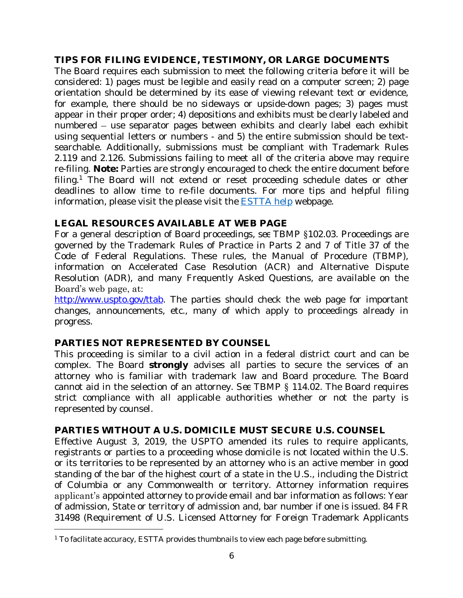### **TIPS FOR FILING EVIDENCE, TESTIMONY, OR LARGE DOCUMENTS**

The Board requires each submission to meet the following criteria before it will be considered: 1) pages must be legible and easily read on a computer screen; 2) page orientation should be determined by its ease of viewing relevant text or evidence, for example, there should be no sideways or upside-down pages; 3) pages must appear in their proper order; 4) depositions and exhibits must be clearly labeled and numbered – use separator pages between exhibits and clearly label each exhibit using sequential letters or numbers - and 5) the entire submission should be textsearchable. Additionally, submissions must be compliant with Trademark Rules 2.119 and 2.126. Submissions failing to meet all of the criteria above may require re-filing. **Note:** Parties are strongly encouraged to check the entire document before filing.<sup>1</sup> The Board will not extend or reset proceeding schedule dates or other deadlines to allow time to re-file documents. For more tips and helpful filing information, please visit the please visit the [ESTTA help](https://www.uspto.gov/trademarks-application-process/trademark-trial-and-appeal-board/estta-help) webpage.

# **LEGAL RESOURCES AVAILABLE AT WEB PAGE**

For a general description of Board proceedings, *see* TBMP §102.03. Proceedings are governed by the Trademark Rules of Practice in Parts 2 and 7 of Title 37 of the Code of Federal Regulations. These rules, the Manual of Procedure (TBMP), information on Accelerated Case Resolution (ACR) and Alternative Dispute Resolution (ADR), and many Frequently Asked Questions, are available on the Board's web page, at:

[http://www.uspto.gov/ttab.](http://www.uspto.gov/ttab) The parties should check the web page for important changes, announcements, etc., many of which apply to proceedings already in progress.

#### **PARTIES NOT REPRESENTED BY COUNSEL**

This proceeding is similar to a civil action in a federal district court and can be complex. The Board **strongly** advises all parties to secure the services of an attorney who is familiar with trademark law and Board procedure. The Board cannot aid in the selection of an attorney. *See* TBMP § 114.02. The Board requires strict compliance with all applicable authorities whether or not the party is represented by counsel.

# **PARTIES WITHOUT A U.S. DOMICILE MUST SECURE U.S. COUNSEL**

Effective August 3, 2019, the USPTO amended its rules to require applicants, registrants or parties to a proceeding whose domicile is not located within the U.S. or its territories to be represented by an attorney who is an active member in good standing of the bar of the highest court of a state in the U.S., including the District of Columbia or any Commonwealth or territory. Attorney information requires applicant's appointed attorney to provide email and bar information as follows: Year of admission, State or territory of admission and, bar number if one is issued. 84 FR 31498 (Requirement of U.S. Licensed Attorney for Foreign Trademark Applicants

<sup>1</sup> To facilitate accuracy, ESTTA provides thumbnails to view each page before submitting.